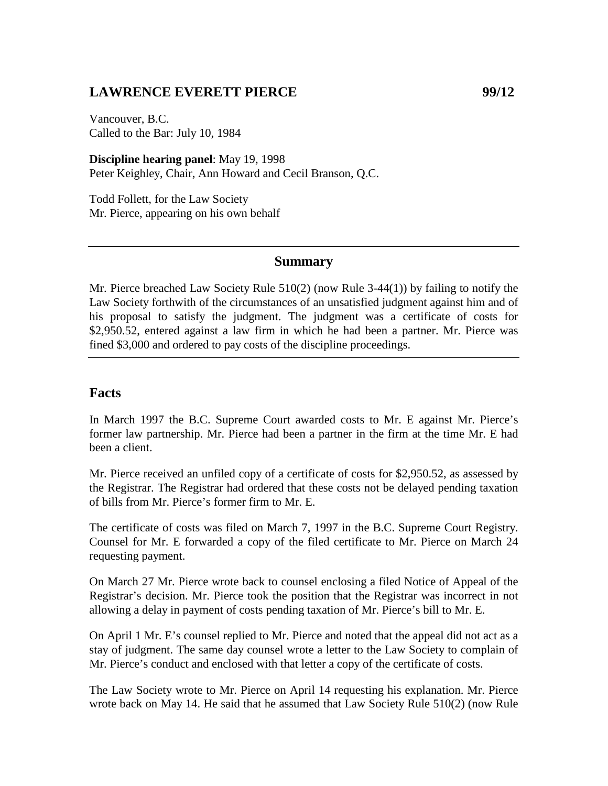### **LAWRENCE EVERETT PIERCE 99/12**

Vancouver, B.C. Called to the Bar: July 10, 1984

**Discipline hearing panel**: May 19, 1998 Peter Keighley, Chair, Ann Howard and Cecil Branson, Q.C.

Todd Follett, for the Law Society Mr. Pierce, appearing on his own behalf

#### **Summary**

Mr. Pierce breached Law Society Rule 510(2) (now Rule 3-44(1)) by failing to notify the Law Society forthwith of the circumstances of an unsatisfied judgment against him and of his proposal to satisfy the judgment. The judgment was a certificate of costs for \$2,950.52, entered against a law firm in which he had been a partner. Mr. Pierce was fined \$3,000 and ordered to pay costs of the discipline proceedings.

#### **Facts**

In March 1997 the B.C. Supreme Court awarded costs to Mr. E against Mr. Pierce's former law partnership. Mr. Pierce had been a partner in the firm at the time Mr. E had been a client.

Mr. Pierce received an unfiled copy of a certificate of costs for \$2,950.52, as assessed by the Registrar. The Registrar had ordered that these costs not be delayed pending taxation of bills from Mr. Pierce's former firm to Mr. E.

The certificate of costs was filed on March 7, 1997 in the B.C. Supreme Court Registry. Counsel for Mr. E forwarded a copy of the filed certificate to Mr. Pierce on March 24 requesting payment.

On March 27 Mr. Pierce wrote back to counsel enclosing a filed Notice of Appeal of the Registrar's decision. Mr. Pierce took the position that the Registrar was incorrect in not allowing a delay in payment of costs pending taxation of Mr. Pierce's bill to Mr. E.

On April 1 Mr. E's counsel replied to Mr. Pierce and noted that the appeal did not act as a stay of judgment. The same day counsel wrote a letter to the Law Society to complain of Mr. Pierce's conduct and enclosed with that letter a copy of the certificate of costs.

The Law Society wrote to Mr. Pierce on April 14 requesting his explanation. Mr. Pierce wrote back on May 14. He said that he assumed that Law Society Rule 510(2) (now Rule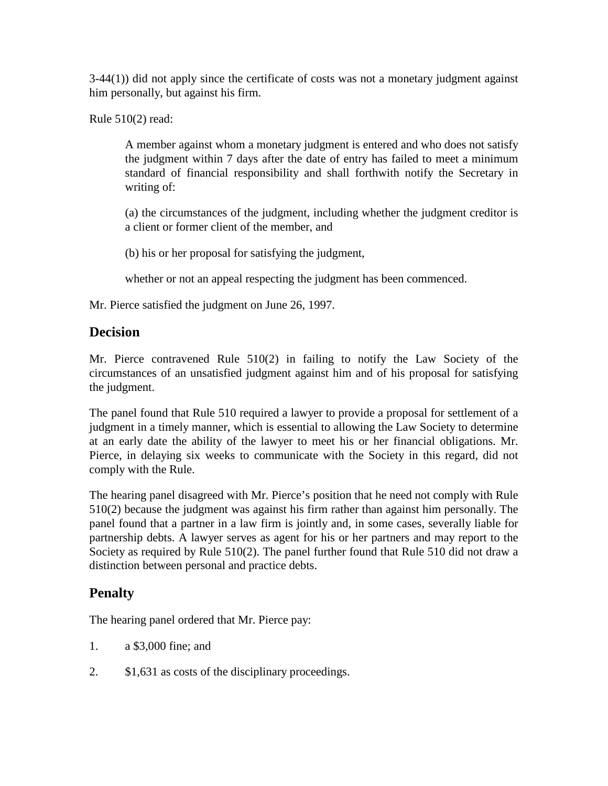$3-44(1)$ ) did not apply since the certificate of costs was not a monetary judgment against him personally, but against his firm.

Rule 510(2) read:

A member against whom a monetary judgment is entered and who does not satisfy the judgment within 7 days after the date of entry has failed to meet a minimum standard of financial responsibility and shall forthwith notify the Secretary in writing of:

(a) the circumstances of the judgment, including whether the judgment creditor is a client or former client of the member, and

(b) his or her proposal for satisfying the judgment,

whether or not an appeal respecting the judgment has been commenced.

Mr. Pierce satisfied the judgment on June 26, 1997.

## **Decision**

Mr. Pierce contravened Rule 510(2) in failing to notify the Law Society of the circumstances of an unsatisfied judgment against him and of his proposal for satisfying the judgment.

The panel found that Rule 510 required a lawyer to provide a proposal for settlement of a judgment in a timely manner, which is essential to allowing the Law Society to determine at an early date the ability of the lawyer to meet his or her financial obligations. Mr. Pierce, in delaying six weeks to communicate with the Society in this regard, did not comply with the Rule.

The hearing panel disagreed with Mr. Pierce's position that he need not comply with Rule 510(2) because the judgment was against his firm rather than against him personally. The panel found that a partner in a law firm is jointly and, in some cases, severally liable for partnership debts. A lawyer serves as agent for his or her partners and may report to the Society as required by Rule 510(2). The panel further found that Rule 510 did not draw a distinction between personal and practice debts.

# **Penalty**

The hearing panel ordered that Mr. Pierce pay:

- 1. a \$3,000 fine; and
- 2. \$1,631 as costs of the disciplinary proceedings.